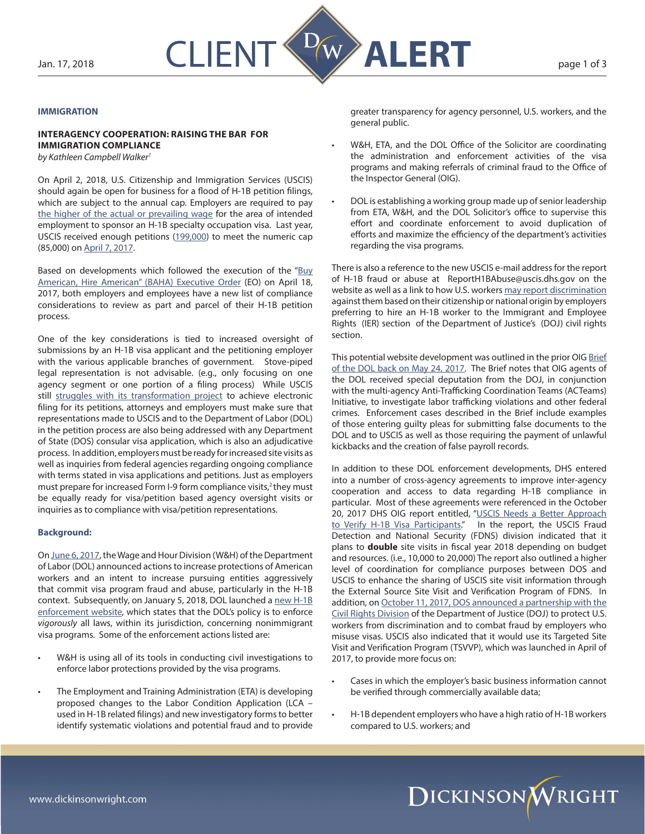

## **IMMIGRATION**

# **Interagency Cooperation: Raising the Bar for Immigration Compliance**

*by Kathleen Campbell Walker1*

On April 2, 2018, U.S. Citizenship and Immigration Services (USCIS) should again be open for business for a flood of H-1B petition filings, which are subject to the annual cap. Employers are required to pay [the higher of the actual or prevailing wage](https://www.dol.gov/whd/regs/compliance/FactSheet62/whdfs62g.htm) for the area of intended employment to sponsor an H-1B specialty occupation visa. Last year, USCIS received enough petitions [\(199,000\)](https://www.uscis.gov/news/alerts/uscis-completes-h-1b-cap-random-selection-process-fy-2018) to meet the numeric cap (85,000) on [April 7, 2017](https://www.uscis.gov/news/news-releases/uscis-reaches-fy-2018-h-1b-cap).

Based on developments which followed the execution of the "Buy [American, Hire American" \(BAHA\) Executive Order](https://www.whitehouse.gov/presidential-actions/presidential-executive-order-buy-american-hire-american/) (EO) on April 18, 2017, both employers and employees have a new list of compliance considerations to review as part and parcel of their H-1B petition process.

One of the key considerations is tied to increased oversight of submissions by an H-1B visa applicant and the petitioning employer with the various applicable branches of government. Stove-piped legal representation is not advisable. (e.g., only focusing on one agency segment or one portion of a filing process) While USCIS still [struggles with its transformation project](https://www.forbes.com/forbes/welcome/%3FtoURL%3Dhttps://www.forbes.com/sites/realspin/2017/02/15/billion-dollar-blunder-immigrants-still-cant-rely-on-uscis-electronic-filing-system/%26refURL%3D%26referrer%3D%2520-%25203518d9ee5c37) to achieve electronic filing for its petitions, attorneys and employers must make sure that representations made to USCIS and to the Department of Labor (DOL) in the petition process are also being addressed with any Department of State (DOS) consular visa application, which is also an adjudicative process. In addition, employers must be ready for increased site visits as well as inquiries from federal agencies regarding ongoing compliance with terms stated in visa applications and petitions. Just as employers must prepare for increased Form I-9 form compliance visits,<sup>2</sup> they must be equally ready for visa/petition based agency oversight visits or inquiries as to compliance with visa/petition representations.

#### **Background:**

On [June 6, 2017](https://www.dol.gov/whd/immigration/h1b.htm), the Wage and Hour Division (W&H) of the Department of Labor (DOL) announced actions to increase protections of American workers and an intent to increase pursuing entities aggressively that commit visa program fraud and abuse, particularly in the H-1B context. Subsequently, on January 5, 2018, DOL launched a new H-1B [enforcement website,](https://www.dol.gov/whd/immigration/protecting-american-workers.htm) which states that the DOL's policy is to enforce *vigorously* all laws, within its jurisdiction, concerning nonimmigrant visa programs. Some of the enforcement actions listed are:

- W&H is using all of its tools in conducting civil investigations to enforce labor protections provided by the visa programs.
- The Employment and Training Administration (ETA) is developing proposed changes to the Labor Condition Application (LCA – used in H-1B related filings) and new investigatory forms to better identify systematic violations and potential fraud and to provide

greater transparency for agency personnel, U.S. workers, and the general public.

- W&H, ETA, and the DOL Office of the Solicitor are coordinating the administration and enforcement activities of the visa programs and making referrals of criminal fraud to the Office of the Inspector General (OIG).
- DOL is establishing a working group made up of senior leadership from ETA, W&H, and the DOL Solicitor's office to supervise this effort and coordinate enforcement to avoid duplication of efforts and maximize the efficiency of the department's activities regarding the visa programs.

There is also a reference to the new USCIS e-mail address for the report of H-1B fraud or abuse at [ReportH1BAbuse@uscis.dhs.gov](mailto:ReportH1BAbuse%40uscis.dhs.gov?subject=) on the website as well as a link to how U.S. workers [may report discrimination](mailto:https://www.justice.gov/crt/immigrant-and-employee-rights-section?subject=) against them based on their citizenship or national origin by employers preferring to hire an H-1B worker to the Immigrant and Employee Rights (IER) section of the Department of Justice's (DOJ) civil rights section.

This potential website development was outlined in the prior OIG [Brief](https://www.oig.dol.gov/OIGBrief-H1B.pdf) [of the DOL back on May 24, 2017](https://www.oig.dol.gov/OIGBrief-H1B.pdf). The Brief notes that OIG agents of the DOL received special deputation from the DOJ, in conjunction with the multi-agency Anti-Trafficking Coordination Teams (ACTeams) Initiative, to investigate labor trafficking violations and other federal crimes. Enforcement cases described in the Brief include examples of those entering guilty pleas for submitting false documents to the DOL and to USCIS as well as those requiring the payment of unlawful kickbacks and the creation of false payroll records.

In addition to these DOL enforcement developments, DHS entered into a number of cross-agency agreements to improve inter-agency cooperation and access to data regarding H-1B compliance in particular. Most of these agreements were referenced in the October 20, 2017 DHS OIG report entitled, "USCIS Needs a Better Approach [to Verify H-1B Visa Participants.](https://www.oig.dhs.gov/reports/2018/uscis-needs-better-approach-verify-h-1b-visa-participants/oig-18-03-oct17)" In the report, the USCIS Fraud Detection and National Security (FDNS) division indicated that it plans to **double** site visits in fiscal year 2018 depending on budget and resources. (i.e., 10,000 to 20,000) The report also outlined a higher level of coordination for compliance purposes between DOS and USCIS to enhance the sharing of USCIS site visit information through the External Source Site Visit and Verification Program of FDNS. In addition, on [October 11, 2017, DOS announced a partnership with the](https://www.justice.gov/opa/pr/departments-justice-and-state-partner-protect-us-workers-discrimination-and-combat-fraud)  [Civil Rights Division](https://www.justice.gov/opa/pr/departments-justice-and-state-partner-protect-us-workers-discrimination-and-combat-fraud) of the Department of Justice (DOJ) to protect U.S. workers from discrimination and to combat fraud by employers who misuse visas. USCIS also indicated that it would use its Targeted Site Visit and Verification Program (TSVVP), which was launched in April of 2017, to provide more focus on:

- Cases in which the employer's basic business information cannot be verified through commercially available data;
- H-1B dependent employers who have a high ratio of H-1B workers compared to U.S. workers; and

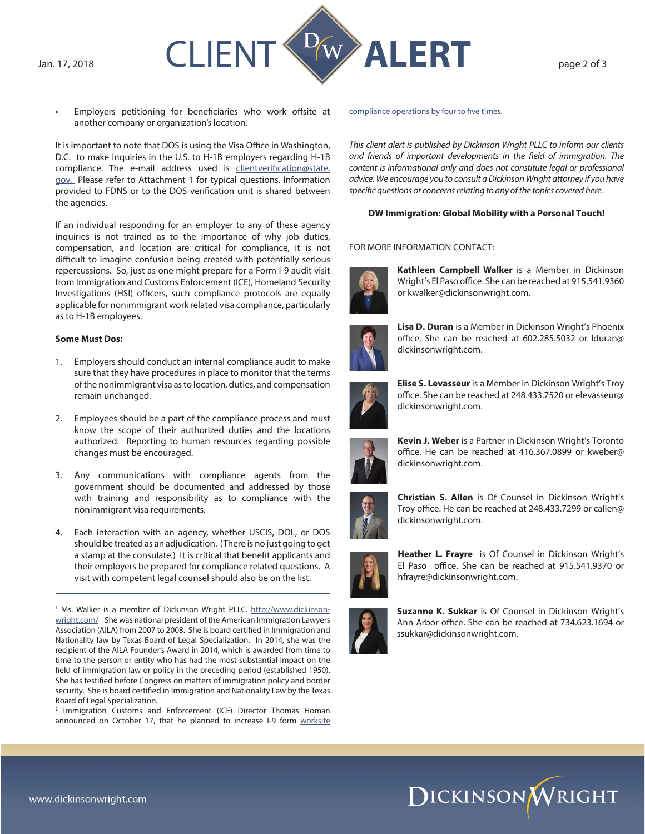

Employers petitioning for beneficiaries who work offsite at another company or organization's location.

It is important to note that DOS is using the Visa Office in Washington, D.C. to make inquiries in the U.S. to H-1B employers regarding H-1B compliance. The e-mail address used is [clientverification@state.](mailto:clientverification%40state.gov.%20?subject=) [gov.](mailto:clientverification%40state.gov.%20?subject=) Please refer to Attachment 1 for typical questions. Information provided to FDNS or to the DOS verification unit is shared between the agencies.

If an individual responding for an employer to any of these agency inquiries is not trained as to the importance of why job duties, compensation, and location are critical for compliance, it is not difficult to imagine confusion being created with potentially serious repercussions. So, just as one might prepare for a Form I-9 audit visit from Immigration and Customs Enforcement (ICE), Homeland Security Investigations (HSI) officers, such compliance protocols are equally applicable for nonimmigrant work related visa compliance, particularly as to H-1B employees.

#### **Some Must Dos:**

- 1. Employers should conduct an internal compliance audit to make sure that they have procedures in place to monitor that the terms of the nonimmigrant visa as to location, duties, and compensation remain unchanged.
- 2. Employees should be a part of the compliance process and must know the scope of their authorized duties and the locations authorized. Reporting to human resources regarding possible changes must be encouraged.
- 3. Any communications with compliance agents from the government should be documented and addressed by those with training and responsibility as to compliance with the nonimmigrant visa requirements.
- 4. Each interaction with an agency, whether USCIS, DOL, or DOS should be treated as an adjudication. (There is no just going to get a stamp at the consulate.) It is critical that benefit applicants and their employers be prepared for compliance related questions. A visit with competent legal counsel should also be on the list.

<sup>1</sup> Ms. Walker is a member of Dickinson Wright PLLC. [http://www.dickinson](http://www.dickinson-wright.com/)[wright.com/](http://www.dickinson-wright.com/) She was national president of the American Immigration Lawyers Association (AILA) from 2007 to 2008. She is board certified in Immigration and Nationality law by Texas Board of Legal Specialization. In 2014, she was the recipient of the AILA Founder's Award in 2014, which is awarded from time to time to the person or entity who has had the most substantial impact on the field of immigration law or policy in the preceding period (established 1950). She has testified before Congress on matters of immigration policy and border security. She is board certified in Immigration and Nationality Law by the Texas Board of Legal Specialization.

<sup>2</sup> Immigration Customs and Enforcement (ICE) Director Thomas Homan announced on October 17, that he planned to increase I-9 form worksite [compliance operations by four to five times.](http://www.cnn.com/2017/10/17/politics/ice-crackdown-workplaces/index.html)

*This client alert is published by Dickinson Wright PLLC to inform our clients and friends of important developments in the field of immigration. The content is informational only and does not constitute legal or professional advice. We encourage you to consult a Dickinson Wright attorney if you have specific questions or concerns relating to any of the topics covered here.*

### **DW Immigration: Global Mobility with a Personal Touch!**

#### FOR MORE INFORMATION CONTACT:



**Kathleen Campbell Walker** is a Member in Dickinson Wright's El Paso office. She can be reached at 915.541.9360 or kwalker@dickinsonwright.com.



**Lisa D. Duran** is a Member in Dickinson Wright's Phoenix office. She can be reached at 602.285.5032 or lduran@ dickinsonwright.com.



**Elise S. Levasseur** is a Member in Dickinson Wright's Troy office. She can be reached at 248.433.7520 or elevasseur@ dickinsonwright.com.



**Kevin J. Weber** is a Partner in Dickinson Wright's Toronto office. He can be reached at 416.367.0899 or kweber@ dickinsonwright.com.



**Christian S. Allen** is Of Counsel in Dickinson Wright's Troy office. He can be reached at 248.433.7299 or callen@ dickinsonwright.com.



**Heather L. Frayre** is Of Counsel in Dickinson Wright's El Paso office. She can be reached at 915.541.9370 or hfrayre@dickinsonwright.com.



**Suzanne K. Sukkar** is Of Counsel in Dickinson Wright's Ann Arbor office. She can be reached at 734.623.1694 or ssukkar@dickinsonwright.com.